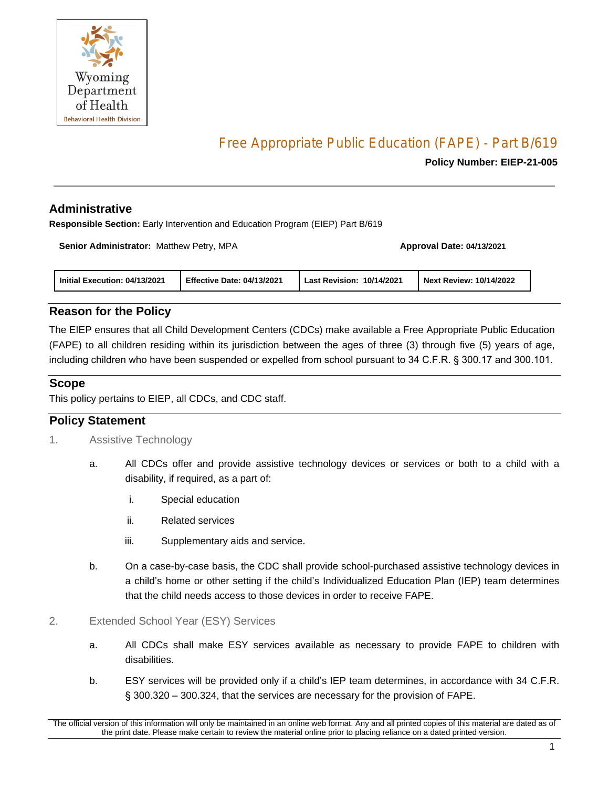

# Free Appropriate Public Education (FAPE) - Part B/619

#### **Policy Number: EIEP-21-005**

### **Administrative**

**Responsible Section:** Early Intervention and Education Program (EIEP) Part B/619

**Senior Administrator:** Matthew Petry, MPA **Approval Date: 04/13/2021**

| Initial Execution: 04/13/2021 | <b>Effective Date: 04/13/2021</b> | 10/14/2021<br><b>Last Revision:</b> | <b>Next Review: 10/14/2022</b> |
|-------------------------------|-----------------------------------|-------------------------------------|--------------------------------|
|-------------------------------|-----------------------------------|-------------------------------------|--------------------------------|

## **Reason for the Policy**

The EIEP ensures that all Child Development Centers (CDCs) make available a Free Appropriate Public Education (FAPE) to all children residing within its jurisdiction between the ages of three (3) through five (5) years of age, including children who have been suspended or expelled from school pursuant to 34 C.F.R. § 300.17 and 300.101.

## **Scope**

This policy pertains to EIEP, all CDCs, and CDC staff.

## **Policy Statement**

- 1. Assistive Technology
	- a. All CDCs offer and provide assistive technology devices or services or both to a child with a disability, if required, as a part of:
		- i. Special education
		- ii. Related services
		- iii. Supplementary aids and service.
	- b. On a case-by-case basis, the CDC shall provide school-purchased assistive technology devices in a child's home or other setting if the child's Individualized Education Plan (IEP) team determines that the child needs access to those devices in order to receive FAPE.
- 2. Extended School Year (ESY) Services
	- a. All CDCs shall make ESY services available as necessary to provide FAPE to children with disabilities.
	- b. ESY services will be provided only if a child's IEP team determines, in accordance with 34 C.F.R. § 300.320 – 300.324, that the services are necessary for the provision of FAPE.

The official version of this information will only be maintained in an online web format. Any and all printed copies of this material are dated as of the print date. Please make certain to review the material online prior to placing reliance on a dated printed version.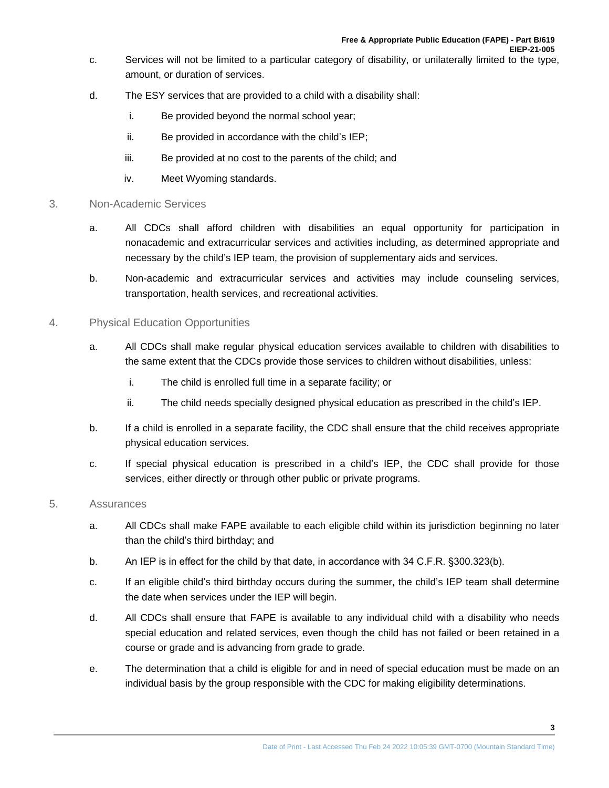- c. Services will not be limited to a particular category of disability, or unilaterally limited to the type, amount, or duration of services.
- d. The ESY services that are provided to a child with a disability shall:
	- i. Be provided beyond the normal school year;
	- ii. Be provided in accordance with the child's IEP;
	- iii. Be provided at no cost to the parents of the child; and
	- iv. Meet Wyoming standards.

#### 3. Non-Academic Services

- a. All CDCs shall afford children with disabilities an equal opportunity for participation in nonacademic and extracurricular services and activities including, as determined appropriate and necessary by the child's IEP team, the provision of supplementary aids and services.
- b. Non-academic and extracurricular services and activities may include counseling services, transportation, health services, and recreational activities.

#### 4. Physical Education Opportunities

- a. All CDCs shall make regular physical education services available to children with disabilities to the same extent that the CDCs provide those services to children without disabilities, unless:
	- i. The child is enrolled full time in a separate facility; or
	- ii. The child needs specially designed physical education as prescribed in the child's IEP.
- b. If a child is enrolled in a separate facility, the CDC shall ensure that the child receives appropriate physical education services.
- c. If special physical education is prescribed in a child's IEP, the CDC shall provide for those services, either directly or through other public or private programs.

#### 5. Assurances

- a. All CDCs shall make FAPE available to each eligible child within its jurisdiction beginning no later than the child's third birthday; and
- b. An IEP is in effect for the child by that date, in accordance with 34 C.F.R. §300.323(b).
- c. If an eligible child's third birthday occurs during the summer, the child's IEP team shall determine the date when services under the IEP will begin.
- d. All CDCs shall ensure that FAPE is available to any individual child with a disability who needs special education and related services, even though the child has not failed or been retained in a course or grade and is advancing from grade to grade.
- e. The determination that a child is eligible for and in need of special education must be made on an individual basis by the group responsible with the CDC for making eligibility determinations.